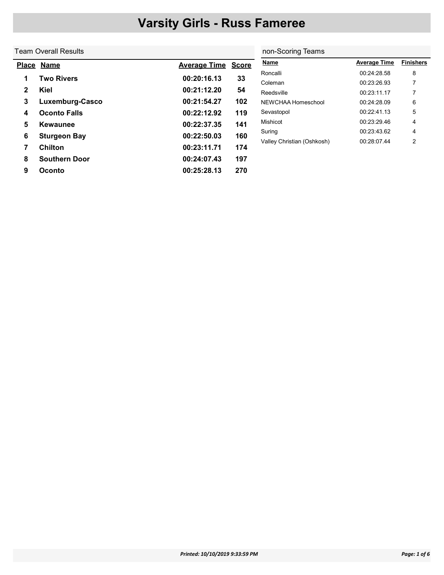non-Scoring Teams

#### Team Overall Results

|   | Place Name           | <b>Average Time</b> | <b>Score</b> | <b>Name</b>                | <b>Average Time</b> | <b>Finishers</b> |
|---|----------------------|---------------------|--------------|----------------------------|---------------------|------------------|
|   | Two Rivers           | 00:20:16.13         |              | Roncalli                   | 00:24:28.58         | 8                |
| 1 |                      |                     | 33           | Coleman                    | 00:23:26.93         |                  |
| 2 | Kiel                 | 00:21:12.20         | 54           | Reedsville                 | 00:23:11.17         |                  |
| 3 | Luxemburg-Casco      | 00:21:54.27         | 102          | NEWCHAA Homeschool         | 00:24:28.09         | 6                |
| 4 | <b>Oconto Falls</b>  | 00:22:12.92         | 119          | Sevastopol                 | 00:22:41.13         | 5                |
| 5 | Kewaunee             | 00:22:37.35         | 141          | Mishicot                   | 00:23:29.46         | 4                |
| 6 | <b>Sturgeon Bay</b>  | 00:22:50.03         | 160          | Suring                     | 00:23:43.62         | 4                |
|   |                      |                     |              | Valley Christian (Oshkosh) | 00:28:07.44         | 2                |
|   | <b>Chilton</b>       | 00:23:11.71         | 174          |                            |                     |                  |
| 8 | <b>Southern Door</b> | 00:24:07.43         | 197          |                            |                     |                  |
| 9 | Oconto               | 00:25:28.13         | 270          |                            |                     |                  |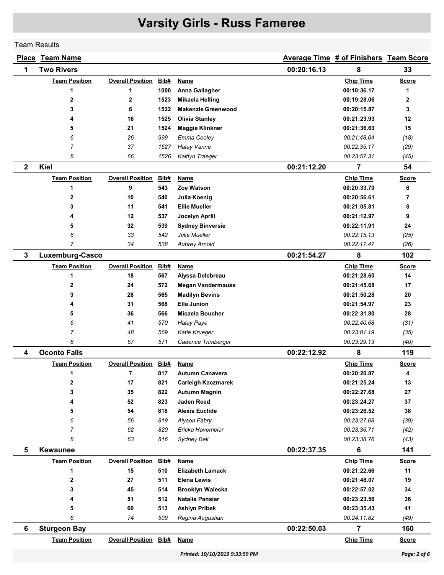Team Results

|                | <b>Place Team Name</b> |                              |             |                                       |             | <b>Average Time # of Finishers Team Score</b> |              |
|----------------|------------------------|------------------------------|-------------|---------------------------------------|-------------|-----------------------------------------------|--------------|
| 1              | <b>Two Rivers</b>      |                              |             |                                       | 00:20:16.13 | 8                                             | 33           |
|                | <b>Team Position</b>   | <b>Overall Position</b>      | Bib#        | Name                                  |             | <b>Chip Time</b>                              | <b>Score</b> |
|                | 1                      | 1                            | 1000        | Anna Gallagher                        |             | 00:18:36.17                                   | 1            |
|                | $\mathbf 2$            | 2                            | 1523        | <b>Mikaela Helling</b>                |             | 00:19:28.06                                   | $\mathbf{2}$ |
|                | 3                      | 6                            | 1522        | <b>Makenzie Greenwood</b>             |             | 00:20:15.87                                   | 3            |
|                | 4                      | 16                           | 1525        | <b>Olivia Stanley</b>                 |             | 00:21:23.93                                   | 12           |
|                | 5                      | 21                           | 1524        | <b>Maggie Klinkner</b>                |             | 00:21:36.63                                   | 15           |
|                | 6                      | 26                           | 999         | Emma Cooley                           |             | 00:21:48.04                                   | (18)         |
|                | $\overline{7}$         | 37                           | 1527        | <b>Haley Vanne</b>                    |             | 00:22:35.17                                   | (29)         |
|                | 8                      | 66                           | 1526        | Kaitlyn Traeger                       |             | 00:23:57.31                                   | (45)         |
| $\mathbf{2}$   | <b>Kiel</b>            |                              |             |                                       | 00:21:12.20 | $\overline{7}$                                | 54           |
|                | <b>Team Position</b>   | <b>Overall Position</b>      | <b>Bib#</b> | Name                                  |             | <b>Chip Time</b>                              | <b>Score</b> |
|                | 1                      | 9                            | 543         | Zoe Watson                            |             | 00:20:33.70                                   | 6            |
|                | 2                      | 10                           | 540         | Julia Koenig                          |             | 00:20:56.61                                   | 7            |
|                | 3                      | 11                           | 541         | <b>Ellie Mueller</b>                  |             | 00:21:05.81                                   | 8            |
|                | 4                      | 12                           | 537         | Jocelyn Aprill                        |             | 00:21:12.97                                   | 9            |
|                | 5                      | 32                           | 539         | <b>Sydney Binversie</b>               |             | 00:22:11.91                                   | 24           |
|                | 6                      | 33                           | 542         | Julie Mueller                         |             | 00:22:15.13                                   | (25)         |
|                | $\overline{7}$         | 34                           | 538         | <b>Aubrey Arnold</b>                  |             | 00:22:17.47                                   | (26)         |
| 3              | Luxemburg-Casco        |                              |             |                                       | 00:21:54.27 | 8                                             | 102          |
|                | <b>Team Position</b>   | <b>Overall Position</b>      | Bib#        | <b>Name</b>                           |             | <b>Chip Time</b>                              | <b>Score</b> |
|                | 1                      | 18                           | 567         | Alyssa Delebreau                      |             | 00:21:28.60                                   | 14           |
|                | 2                      | 24                           | 572         | <b>Megan Vandermause</b>              |             | 00:21:45.68                                   | 17           |
|                | 3                      | 28                           | 565         | <b>Madilyn Bevins</b>                 |             | 00:21:50.28                                   | 20           |
|                | 4                      | 31                           | 568         | <b>Ella Junion</b>                    |             | 00:21:54.97                                   | 23           |
|                | 5                      | 36                           | 566         | Micaela Boucher                       |             | 00:22:31.80                                   | 28           |
|                | 6                      | 41                           | 570         | <b>Haley Paye</b>                     |             | 00:22:40.68                                   | (31)         |
|                | $\overline{7}$         | 48                           | 569         | Katie Krueger                         |             | 00:23:01.19                                   | (35)         |
|                | 8                      | 57                           | 571         | Cadence Trimberger                    |             | 00:23:29.13                                   | (40)         |
| 4              | <b>Oconto Falls</b>    |                              |             |                                       | 00:22:12.92 | 8                                             | 119          |
|                | <b>Team Position</b>   | <b>Overall Position</b>      | Bib#        | <b>Name</b>                           |             | <b>Chip Time</b>                              | <b>Score</b> |
|                | 1                      | 7                            | 817         | <b>Autumn Canavera</b>                |             | 00:20:20.87                                   | 4            |
|                | $\mathbf{2}$           | 17                           | 821         | <b>Carleigh Kaczmarek</b>             |             | 00:21:25.24                                   | 13           |
|                | 3                      | 35<br>52                     | 822         | Autumn Magnin<br><b>Jaden Reed</b>    |             | 00:22:27.68<br>00:23:24.27                    | 27<br>37     |
|                | 4                      | 54                           | 823         |                                       |             |                                               | 38           |
|                | 5<br>6                 | 56                           | 818<br>819  | <b>Alexis Euclide</b><br>Alyson Fabry |             | 00:23:26.52<br>00:23:27.08                    | (39)         |
|                | $\overline{7}$         | 62                           | 820         | Ericka Havemeier                      |             | 00:23:36.71                                   | (42)         |
|                | 8                      | 63                           | 816         | Sydney Bell                           |             | 00:23:38.76                                   | (43)         |
| $5\phantom{1}$ | <b>Kewaunee</b>        |                              |             |                                       | 00:22:37.35 | $\bf 6$                                       | 141          |
|                | <b>Team Position</b>   | <b>Overall Position</b>      | Bib#        | <b>Name</b>                           |             | <b>Chip Time</b>                              | <b>Score</b> |
|                | 1                      | 15                           | 510         | <b>Elizabeth Lamack</b>               |             | 00:21:22.66                                   | 11           |
|                | 2                      | 27                           | 511         | <b>Elena Lewis</b>                    |             | 00:21:48.07                                   | 19           |
|                | 3                      | 45                           | 514         | <b>Brooklyn Walecka</b>               |             | 00:22:57.02                                   | 34           |
|                | 4                      | 51                           | 512         | <b>Natalie Pansier</b>                |             | 00:23:23.56                                   | 36           |
|                | 5                      | 60                           | 513         | <b>Ashlyn Pribek</b>                  |             | 00:23:35.43                                   | 41           |
|                | 6                      | 74                           | 509         | Regina Augustian                      |             | 00:24:11.82                                   | (49)         |
| 6              | <b>Sturgeon Bay</b>    |                              |             |                                       | 00:22:50.03 | $\overline{7}$                                | 160          |
|                | <b>Team Position</b>   | <b>Overall Position Bib#</b> |             | <b>Name</b>                           |             | <b>Chip Time</b>                              | <b>Score</b> |
|                |                        |                              |             |                                       |             |                                               |              |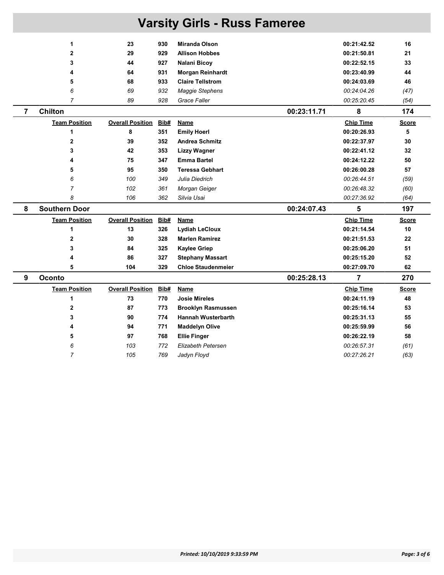| <b>Varsity Girls - Russ Fameree</b> |                      |                         |      |                           |                  |              |  |  |  |
|-------------------------------------|----------------------|-------------------------|------|---------------------------|------------------|--------------|--|--|--|
|                                     | 1                    | 23                      | 930  | <b>Miranda Olson</b>      | 00:21:42.52      | 16           |  |  |  |
|                                     | $\mathbf{2}$         | 29                      | 929  | <b>Allison Hobbes</b>     | 00:21:50.81      | 21           |  |  |  |
|                                     | 3                    | 44                      | 927  | Nalani Bicoy              | 00:22:52.15      | 33           |  |  |  |
|                                     | 4                    | 64                      | 931  | <b>Morgan Reinhardt</b>   | 00:23:40.99      | 44           |  |  |  |
|                                     | 5                    | 68                      | 933  | <b>Claire Tellstrom</b>   | 00:24:03.69      | 46           |  |  |  |
|                                     | 6                    | 69                      | 932  | Maggie Stephens           | 00:24:04.26      | (47)         |  |  |  |
|                                     | $\overline{7}$       | 89                      | 928  | Grace Faller              | 00:25:20.45      | (54)         |  |  |  |
| $\overline{\mathbf{r}}$             | <b>Chilton</b>       |                         |      | 00:23:11.71               | 8                | 174          |  |  |  |
|                                     | <b>Team Position</b> | <b>Overall Position</b> | Bib# | <b>Name</b>               | <b>Chip Time</b> | <b>Score</b> |  |  |  |
|                                     | 1                    | 8                       | 351  | <b>Emily Hoerl</b>        | 00:20:26.93      | 5            |  |  |  |
|                                     | $\mathbf 2$          | 39                      | 352  | <b>Andrea Schmitz</b>     | 00:22:37.97      | 30           |  |  |  |
|                                     | 3                    | 42                      | 353  | <b>Lizzy Wagner</b>       | 00:22:41.12      | 32           |  |  |  |
|                                     | 4                    | 75                      | 347  | <b>Emma Bartel</b>        | 00:24:12.22      | 50           |  |  |  |
|                                     | 5                    | 95                      | 350  | <b>Teressa Gebhart</b>    | 00:26:00.28      | 57           |  |  |  |
|                                     | 6                    | 100                     | 349  | Julia Diedrich            | 00:26:44.51      | (59)         |  |  |  |
|                                     | $\overline{7}$       | 102                     | 361  | Morgan Geiger             | 00:26:48.32      | (60)         |  |  |  |
|                                     | 8                    | 106                     | 362  | Silvia Usai               | 00:27:36.92      | (64)         |  |  |  |
| 8                                   | <b>Southern Door</b> |                         |      | 00:24:07.43               | 5                | 197          |  |  |  |
|                                     | <b>Team Position</b> | <b>Overall Position</b> | Bib# | <b>Name</b>               | <b>Chip Time</b> | <b>Score</b> |  |  |  |
|                                     | $\mathbf{1}$         | 13                      | 326  | <b>Lydiah LeCloux</b>     | 00:21:14.54      | 10           |  |  |  |
|                                     | $\mathbf 2$          | 30                      | 328  | <b>Marlen Ramirez</b>     | 00:21:51.53      | 22           |  |  |  |
|                                     | 3                    | 84                      | 325  | <b>Kaylee Griep</b>       | 00:25:06.20      | 51           |  |  |  |
|                                     | 4                    | 86                      | 327  | <b>Stephany Massart</b>   | 00:25:15.20      | 52           |  |  |  |
|                                     | 5                    | 104                     | 329  | <b>Chloe Staudenmeier</b> | 00:27:09.70      | 62           |  |  |  |
| 9                                   | <b>Oconto</b>        |                         |      | 00:25:28.13               | 7                | 270          |  |  |  |
|                                     | <b>Team Position</b> | <b>Overall Position</b> | Bib# | Name                      | <b>Chip Time</b> | <b>Score</b> |  |  |  |
|                                     | 1                    | 73                      | 770  | <b>Josie Mireles</b>      | 00:24:11.19      | 48           |  |  |  |
|                                     | $\mathbf 2$          | 87                      | 773  | <b>Brooklyn Rasmussen</b> | 00:25:16.14      | 53           |  |  |  |
|                                     | 3                    | 90                      | 774  | <b>Hannah Wusterbarth</b> | 00:25:31.13      | 55           |  |  |  |
|                                     | 4                    | 94                      | 771  | <b>Maddelyn Olive</b>     | 00:25:59.99      | 56           |  |  |  |
|                                     | 5                    | 97                      | 768  | <b>Ellie Finger</b>       | 00:26:22.19      | 58           |  |  |  |
|                                     | 6                    | 103                     | 772  | <b>Elizabeth Petersen</b> | 00:26:57.31      | (61)         |  |  |  |
|                                     | $\overline{7}$       | 105                     | 769  | Jadyn Floyd               | 00:27:26.21      | (63)         |  |  |  |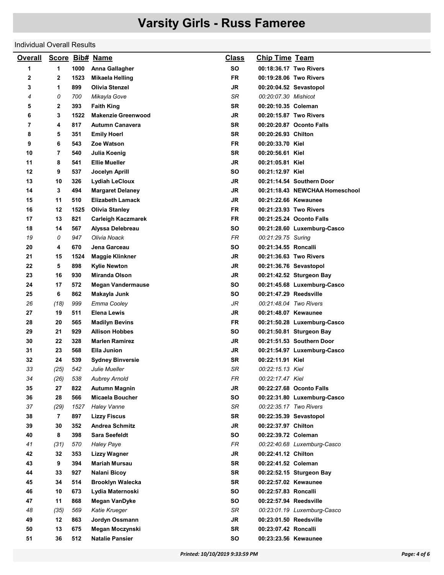#### Individual Overall Results

| <b>Overall</b> |      |      | Score Bib# Name           | <b>Class</b> | <u>Chip Time Team</u>  |                                |
|----------------|------|------|---------------------------|--------------|------------------------|--------------------------------|
| 1              | 1    | 1000 | Anna Gallagher            | SΟ           | 00:18:36.17 Two Rivers |                                |
| 2              | 2    | 1523 | Mikaela Helling           | <b>FR</b>    | 00:19:28.06 Two Rivers |                                |
| 3              | 1    | 899  | <b>Olivia Stenzel</b>     | JR           | 00:20:04.52 Sevastopol |                                |
| 4              | 0    | 700  | Mikayla Gove              | SR           | 00:20:07.30 Mishicot   |                                |
| 5              | 2    | 393  | <b>Faith King</b>         | <b>SR</b>    | 00:20:10.35 Coleman    |                                |
| 6              | 3    | 1522 | <b>Makenzie Greenwood</b> | <b>JR</b>    | 00:20:15.87 Two Rivers |                                |
| 7              | 4    | 817  | <b>Autumn Canavera</b>    | <b>SR</b>    |                        | 00:20:20.87 Oconto Falls       |
| 8              | 5    | 351  | <b>Emily Hoerl</b>        | <b>SR</b>    | 00:20:26.93 Chilton    |                                |
| 9              | 6    | 543  | Zoe Watson                | <b>FR</b>    | 00:20:33.70 Kiel       |                                |
| 10             | 7    | 540  | Julia Koenig              | SR           | 00:20:56.61 Kiel       |                                |
| 11             | 8    | 541  | <b>Ellie Mueller</b>      | <b>JR</b>    | 00:21:05.81 Kiel       |                                |
| 12             | 9    | 537  | Jocelyn Aprill            | <b>SO</b>    | 00:21:12.97 Kiel       |                                |
| 13             | 10   | 326  | <b>Lydiah LeCloux</b>     | JR           |                        | 00:21:14.54 Southern Door      |
| 14             | 3    | 494  | <b>Margaret Delaney</b>   | JR           |                        | 00:21:18.43 NEWCHAA Homeschool |
| 15             | 11   | 510  | <b>Elizabeth Lamack</b>   | JR           | 00:21:22.66 Kewaunee   |                                |
| 16             | 12   | 1525 | <b>Olivia Stanley</b>     | <b>FR</b>    | 00:21:23.93 Two Rivers |                                |
| 17             | 13   | 821  | <b>Carleigh Kaczmarek</b> | FR           |                        | 00:21:25.24 Oconto Falls       |
| 18             | 14   | 567  | Alyssa Delebreau          | <b>SO</b>    |                        | 00:21:28.60 Luxemburg-Casco    |
| 19             | 0    | 947  | Olivia Noack              | <b>FR</b>    | 00:21:29.75 Suring     |                                |
| 20             | 4    | 670  | Jena Garceau              | SΟ           | 00:21:34.55 Roncalli   |                                |
| 21             | 15   | 1524 | <b>Maggie Klinkner</b>    | JR           | 00:21:36.63 Two Rivers |                                |
| 22             | 5    | 898  | <b>Kylie Newton</b>       | <b>JR</b>    | 00:21:36.76 Sevastopol |                                |
| 23             | 16   | 930  | <b>Miranda Olson</b>      | JR           |                        | 00:21:42.52 Sturgeon Bay       |
| 24             | 17   | 572  | <b>Megan Vandermause</b>  | SΟ           |                        | 00:21:45.68 Luxemburg-Casco    |
| 25             | 6    | 862  | Makayla Junk              | <b>SO</b>    | 00:21:47.29 Reedsville |                                |
| 26             | (18) | 999  | Emma Cooley               | JR           | 00:21:48.04 Two Rivers |                                |
| 27             | 19   | 511  | <b>Elena Lewis</b>        | JR           | 00:21:48.07 Kewaunee   |                                |
| 28             | 20   | 565  | <b>Madilyn Bevins</b>     | FR           |                        | 00:21:50.28 Luxemburg-Casco    |
| 29             | 21   | 929  | <b>Allison Hobbes</b>     | SΟ           |                        | 00:21:50.81 Sturgeon Bay       |
| 30             | 22   | 328  | <b>Marlen Ramirez</b>     | JR           |                        | 00:21:51.53 Southern Door      |
| 31             | 23   | 568  | Ella Junion               | JR           |                        | 00:21:54.97 Luxemburg-Casco    |
| 32             | 24   | 539  | <b>Sydney Binversie</b>   | SR           | 00:22:11.91 Kiel       |                                |
| 33             | (25) | 542  | Julie Mueller             | SR           | 00:22:15.13 Kiel       |                                |
| 34             | (26) | 538  | <b>Aubrey Arnold</b>      | FR           | 00:22:17.47 Kiel       |                                |
| 35             | 27   | 822  | <b>Autumn Magnin</b>      | <b>JR</b>    |                        | 00:22:27.68 Oconto Falls       |
| 36             | 28   | 566  | Micaela Boucher           | SO           |                        | 00:22:31.80 Luxemburg-Casco    |
| 37             | (29) | 1527 | <b>Haley Vanne</b>        | SR           | 00:22:35.17 Two Rivers |                                |
| 38             | 7    | 897  | <b>Lizzy Fiscus</b>       | <b>SR</b>    | 00:22:35.39 Sevastopol |                                |
| 39             | 30   | 352  | <b>Andrea Schmitz</b>     | <b>JR</b>    | 00:22:37.97 Chilton    |                                |
| 40             | 8    | 398  | <b>Sara Seefeldt</b>      | SO           | 00:22:39.72 Coleman    |                                |
| 41             | (31) | 570  | <b>Haley Paye</b>         | FR           |                        | 00:22:40.68 Luxemburg-Casco    |
| 42             | 32   | 353  | <b>Lizzy Wagner</b>       | JR           | 00:22:41.12 Chilton    |                                |
| 43             | 9    | 394  | <b>Mariah Mursau</b>      | <b>SR</b>    | 00:22:41.52 Coleman    |                                |
| 44             | 33   | 927  | Nalani Bicoy              | SR           |                        | 00:22:52.15 Sturgeon Bay       |
| 45             | 34   | 514  | <b>Brooklyn Walecka</b>   | <b>SR</b>    | 00:22:57.02 Kewaunee   |                                |
| 46             | 10   | 673  | Lydia Maternoski          | SO           | 00:22:57.83 Roncalli   |                                |
| 47             | 11   | 868  | Megan VanDyke             | <b>SO</b>    | 00:22:57.94 Reedsville |                                |
| 48             | (35) | 569  | Katie Krueger             | SR           |                        | 00:23:01.19 Luxemburg-Casco    |
| 49             | 12   | 863  | Jordyn Ossmann            | <b>JR</b>    | 00:23:01.50 Reedsville |                                |
| 50             | 13   | 675  | Megan Moczynski           | <b>SR</b>    | 00:23:07.42 Roncalli   |                                |
| 51             | 36   | 512  | <b>Natalie Pansier</b>    | SO           | 00:23:23.56 Kewaunee   |                                |
|                |      |      |                           |              |                        |                                |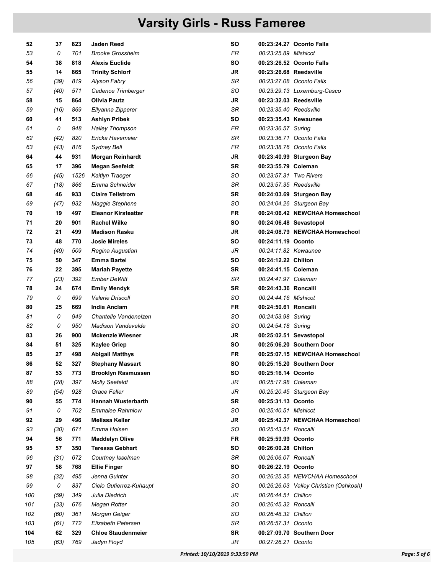| 52  | 37   | 823  | <b>Jaden Reed</b>          | SΟ        |                        | 00:23:24.27 Oconto Falls               |
|-----|------|------|----------------------------|-----------|------------------------|----------------------------------------|
| 53  | 0    | 701  | <b>Brooke Grossheim</b>    | FR.       | 00:23:25.89 Mishicot   |                                        |
| 54  | 38   | 818  | <b>Alexis Euclide</b>      | SΟ        |                        | 00:23:26.52 Oconto Falls               |
| 55  | 14   | 865  | <b>Trinity Schlorf</b>     | JR        | 00:23:26.68 Reedsville |                                        |
| 56  | (39) | 819  | Alyson Fabry               | SR        |                        | 00:23:27.08 Oconto Falls               |
| 57  | (40) | 571  | Cadence Trimberger         | SO        |                        | 00:23:29.13 Luxemburg-Casco            |
| 58  | 15   | 864  | <b>Olivia Pautz</b>        | JR        | 00:23:32.03 Reedsville |                                        |
| 59  | (16) | 869  | Ellyanna Zipperer          | SR        | 00:23:35.40 Reedsville |                                        |
| 60  | 41   | 513  | <b>Ashlyn Pribek</b>       | SΟ        | 00:23:35.43 Kewaunee   |                                        |
| 61  | 0    | 948  | <b>Hailey Thompson</b>     | FR        | 00:23:36.57 Suring     |                                        |
| 62  | (42) | 820  | Ericka Havemeier           | SR        |                        | 00:23:36.71 Oconto Falls               |
| 63  | (43) | 816  | Sydney Bell                | FR.       |                        | 00:23:38.76 Oconto Falls               |
| 64  | 44   | 931  | <b>Morgan Reinhardt</b>    | JR        |                        | 00:23:40.99 Sturgeon Bay               |
| 65  | 17   | 396  | <b>Megan Seefeldt</b>      | SR        | 00:23:55.79 Coleman    |                                        |
| 66  | (45) | 1526 | Kaitlyn Traeger            | SO        | 00:23:57.31 Two Rivers |                                        |
| 67  | (18) | 866  | Emma Schneider             | SR        | 00:23:57.35 Reedsville |                                        |
| 68  | 46   | 933  | <b>Claire Tellstrom</b>    | SR        |                        | 00:24:03.69 Sturgeon Bay               |
| 69  | (47) | 932  | <b>Maggie Stephens</b>     | SO        |                        | 00:24:04.26 Sturgeon Bay               |
| 70  | 19   | 497  | <b>Eleanor Kirsteatter</b> | FR        |                        | 00:24:06.42 NEWCHAA Homeschool         |
| 71  | 20   | 901  | <b>Rachel Wilke</b>        | SO        |                        | 00:24:06.48 Sevastopol                 |
| 72  | 21   | 499  | <b>Madison Rasku</b>       | JR        |                        | 00:24:08.79 NEWCHAA Homeschool         |
| 73  | 48   | 770  | <b>Josie Mireles</b>       | SΟ        | 00:24:11.19 Oconto     |                                        |
| 74  | (49) | 509  | Regina Augustian           | JR        | 00:24:11.82 Kewaunee   |                                        |
| 75  | 50   | 347  | <b>Emma Bartel</b>         | SΟ        | 00:24:12.22 Chilton    |                                        |
| 76  | 22   | 395  | <b>Mariah Payette</b>      | <b>SR</b> | 00:24:41.15 Coleman    |                                        |
| 77  | (23) | 392  | <b>Ember DeWitt</b>        | SR        | 00:24:41.97 Coleman    |                                        |
| 78  | 24   | 674  | <b>Emily Mendyk</b>        | SR        | 00:24:43.36 Roncalli   |                                        |
| 79  | 0    | 699  | <b>Valerie Driscoll</b>    | SO        | 00:24:44.16 Mishicot   |                                        |
| 80  | 25   | 669  | India Anclam               | FR.       | 00:24:50.61 Roncalli   |                                        |
| 81  | 0    | 949  | Chantelle Vandenelzen      | SO        | 00:24:53.98 Suring     |                                        |
| 82  | 0    | 950  | <b>Madison Vandevelde</b>  | SO        | 00:24:54.18 Suring     |                                        |
| 83  | 26   | 900  | <b>Mckenzie Wiesner</b>    | JR        |                        | 00:25:02.51 Sevastopol                 |
| 84  | 51   | 325  | <b>Kaylee Griep</b>        | SO        |                        | 00:25:06.20 Southern Door              |
| 85  | 27   | 498  | <b>Abigail Matthys</b>     | FR        |                        | 00:25:07.15 NEWCHAA Homeschool         |
| 86  | 52   | 327  | <b>Stephany Massart</b>    | SΟ        |                        | 00:25:15.20 Southern Door              |
| 87  | 53   | 773  | <b>Brooklyn Rasmussen</b>  | SO        | 00:25:16.14 Oconto     |                                        |
| 88  | (28) | 397  | <b>Molly Seefeldt</b>      | JR        | 00:25:17.98 Coleman    |                                        |
| 89  | (54) | 928  | <b>Grace Faller</b>        | JR        |                        | 00:25:20.45 Sturgeon Bay               |
| 90  | 55   | 774  | <b>Hannah Wusterbarth</b>  | SR        | 00:25:31.13 Oconto     |                                        |
| 91  | 0    | 702  | <b>Emmalee Rahmlow</b>     | SO        | 00:25:40.51 Mishicot   |                                        |
| 92  | 29   | 496  | <b>Melissa Keller</b>      | JR        |                        | 00:25:42.37 NEWCHAA Homeschool         |
| 93  | (30) | 671  | Emma Holsen                | SO        | 00:25:43.51 Roncalli   |                                        |
| 94  | 56   | 771  | <b>Maddelyn Olive</b>      | <b>FR</b> | 00:25:59.99 Oconto     |                                        |
| 95  | 57   | 350  | <b>Teressa Gebhart</b>     | <b>SO</b> | 00:26:00.28 Chilton    |                                        |
| 96  | (31) | 672  | Courtney Isselman          | SR        | 00:26:06.07 Roncalli   |                                        |
| 97  | 58   | 768  | <b>Ellie Finger</b>        | SΟ        | 00:26:22.19 Oconto     |                                        |
| 98  | (32) | 495  | Jenna Guinter              | SO        |                        | 00:26:25.35 NEWCHAA Homeschool         |
| 99  | 0    | 837  | Cielo Gutierrez-Kuhaupt    | SO        |                        | 00:26:26.03 Valley Christian (Oshkosh) |
| 100 | (59) | 349  | Julia Diedrich             | JR        | 00:26:44.51 Chilton    |                                        |
| 101 | (33) | 676  | Megan Rotter               | SO        | 00:26:45.32 Roncalli   |                                        |
| 102 | (60) | 361  | Morgan Geiger              | SO        | 00:26:48.32 Chilton    |                                        |
| 103 | (61) | 772  | <b>Elizabeth Petersen</b>  | SR        | 00:26:57.31 Oconto     |                                        |
| 104 | 62   | 329  | <b>Chloe Staudenmeier</b>  | <b>SR</b> |                        | 00:27:09.70 Southern Door              |
| 105 | (63) | 769  | Jadyn Floyd                | JR        | 00:27:26.21 Oconto     |                                        |